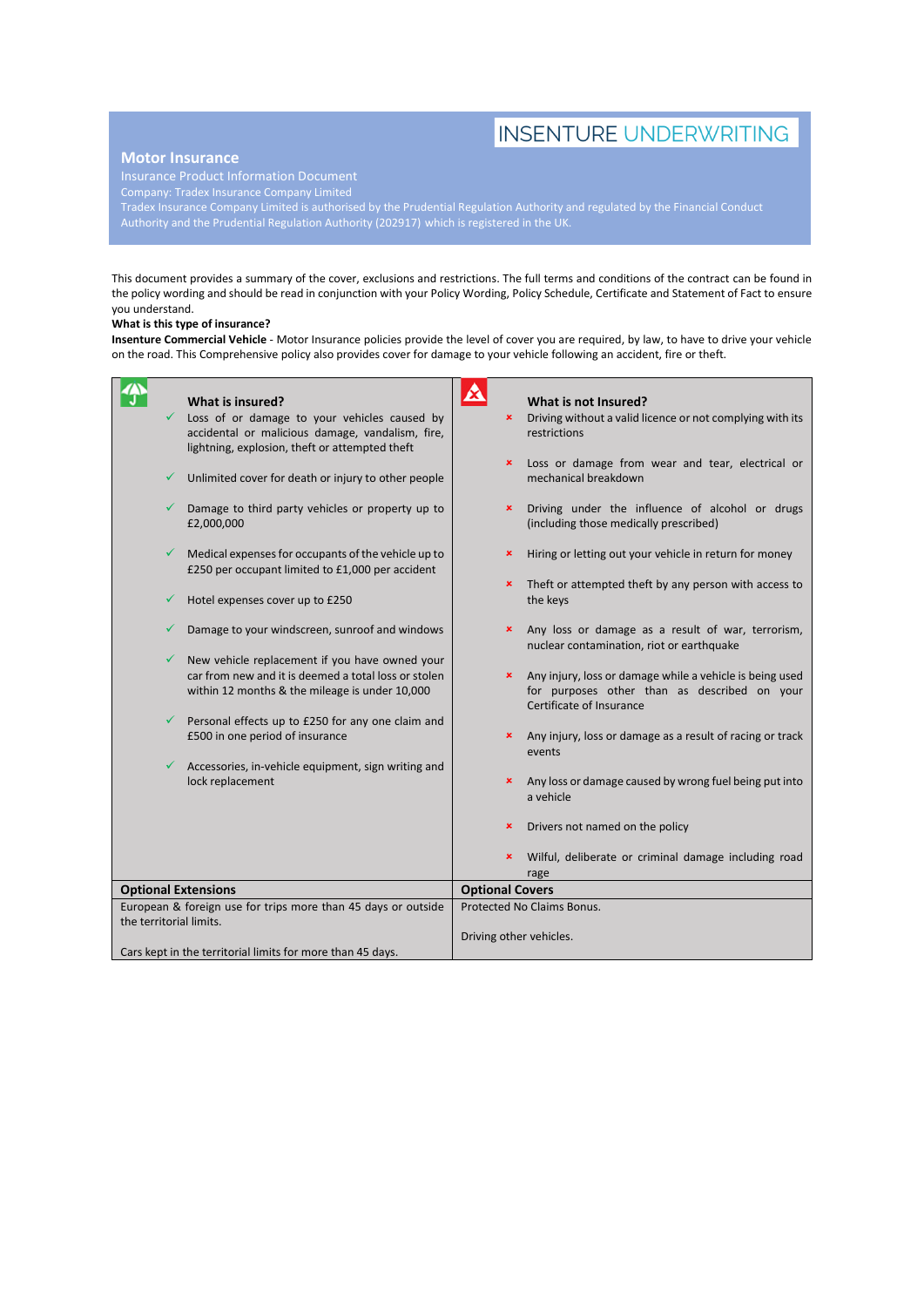# **INSENTURE UNDERWRITING**

## **Motor Insurance**

Company: Tradex Insurance Company Limited

Tradex Insurance Company Limited is authorised by the Prudential Regulation Authority and regulated by the Financial Conduct Authority and the Prudential Regulation Authority (202917) which is registered in the UK.

This document provides a summary of the cover, exclusions and restrictions. The full terms and conditions of the contract can be found in the policy wording and should be read in conjunction with your Policy Wording, Policy Schedule, Certificate and Statement of Fact to ensure you understand.

### **What is this type of insurance?**

**Insenture Commercial Vehicle** - Motor Insurance policies provide the level of cover you are required, by law, to have to drive your vehicle on the road. This Comprehensive policy also provides cover for damage to your vehicle following an accident, fire or theft.

|                                                                                          | What is insured?                                                                                        | 竺                          | What is not Insured?                                                                                                                 |
|------------------------------------------------------------------------------------------|---------------------------------------------------------------------------------------------------------|----------------------------|--------------------------------------------------------------------------------------------------------------------------------------|
|                                                                                          | Loss of or damage to your vehicles caused by                                                            | ×                          | Driving without a valid licence or not complying with its                                                                            |
|                                                                                          | accidental or malicious damage, vandalism, fire,<br>lightning, explosion, theft or attempted theft      |                            | restrictions                                                                                                                         |
|                                                                                          |                                                                                                         | ×                          | Loss or damage from wear and tear, electrical or                                                                                     |
| ✓                                                                                        | Unlimited cover for death or injury to other people                                                     |                            | mechanical breakdown                                                                                                                 |
|                                                                                          | Damage to third party vehicles or property up to<br>£2,000,000                                          | ×                          | Driving under the influence of alcohol or drugs<br>(including those medically prescribed)                                            |
| ✓                                                                                        | Medical expenses for occupants of the vehicle up to<br>£250 per occupant limited to £1,000 per accident | ×                          | Hiring or letting out your vehicle in return for money                                                                               |
|                                                                                          |                                                                                                         | ×                          | Theft or attempted theft by any person with access to                                                                                |
|                                                                                          | Hotel expenses cover up to £250                                                                         |                            | the keys                                                                                                                             |
|                                                                                          | Damage to your windscreen, sunroof and windows                                                          | ×                          | Any loss or damage as a result of war, terrorism,<br>nuclear contamination, riot or earthquake                                       |
| ✓                                                                                        | New vehicle replacement if you have owned your                                                          |                            |                                                                                                                                      |
|                                                                                          | car from new and it is deemed a total loss or stolen<br>within 12 months & the mileage is under 10,000  | ×                          | Any injury, loss or damage while a vehicle is being used<br>for purposes other than as described on your<br>Certificate of Insurance |
| ✓                                                                                        | Personal effects up to £250 for any one claim and                                                       |                            |                                                                                                                                      |
|                                                                                          | £500 in one period of insurance                                                                         | ×                          | Any injury, loss or damage as a result of racing or track<br>events                                                                  |
|                                                                                          | Accessories, in-vehicle equipment, sign writing and                                                     |                            |                                                                                                                                      |
|                                                                                          | lock replacement                                                                                        | ×                          | Any loss or damage caused by wrong fuel being put into<br>a vehicle                                                                  |
|                                                                                          |                                                                                                         | ×                          | Drivers not named on the policy                                                                                                      |
|                                                                                          |                                                                                                         | ×                          | Wilful, deliberate or criminal damage including road                                                                                 |
|                                                                                          |                                                                                                         |                            | rage                                                                                                                                 |
| <b>Optional Extensions</b>                                                               |                                                                                                         | <b>Optional Covers</b>     |                                                                                                                                      |
| European & foreign use for trips more than 45 days or outside<br>the territorial limits. |                                                                                                         | Protected No Claims Bonus. |                                                                                                                                      |
|                                                                                          |                                                                                                         | Driving other vehicles.    |                                                                                                                                      |
| Cars kept in the territorial limits for more than 45 days.                               |                                                                                                         |                            |                                                                                                                                      |